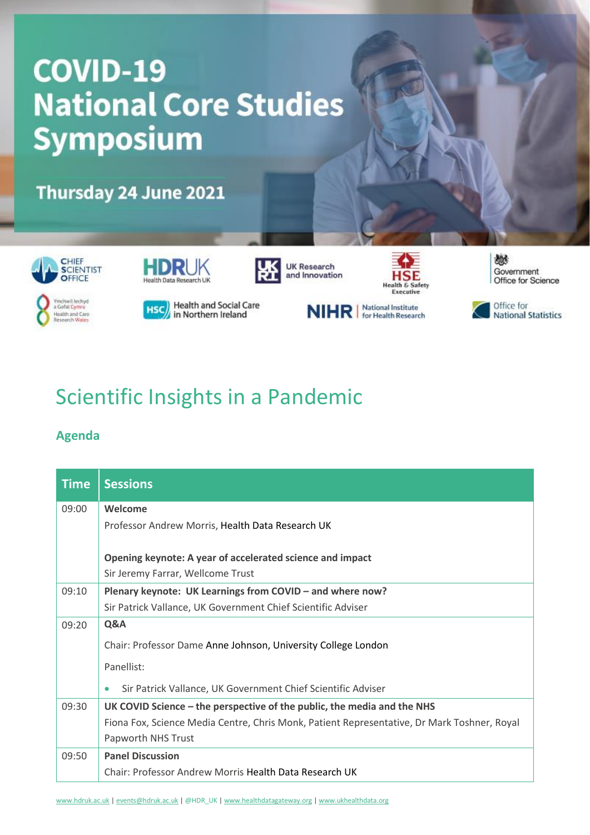## **COVID-19 National Core Studies Symposium**

Thursday 24 June 2021









燃 Government Office for Science









## Scientific Insights in a Pandemic

## **Agenda**

| <b>Time</b> | <b>Sessions</b>                                                                             |
|-------------|---------------------------------------------------------------------------------------------|
| 09:00       | Welcome                                                                                     |
|             | Professor Andrew Morris, Health Data Research UK                                            |
|             | Opening keynote: A year of accelerated science and impact                                   |
|             | Sir Jeremy Farrar, Wellcome Trust                                                           |
| 09:10       | Plenary keynote: UK Learnings from COVID - and where now?                                   |
|             | Sir Patrick Vallance, UK Government Chief Scientific Adviser                                |
| 09:20       | Q&A                                                                                         |
|             | Chair: Professor Dame Anne Johnson, University College London                               |
|             | Panellist:                                                                                  |
|             | Sir Patrick Vallance, UK Government Chief Scientific Adviser<br>٠                           |
| 09:30       | UK COVID Science – the perspective of the public, the media and the NHS                     |
|             | Fiona Fox, Science Media Centre, Chris Monk, Patient Representative, Dr Mark Toshner, Royal |
|             | Papworth NHS Trust                                                                          |
| 09:50       | <b>Panel Discussion</b>                                                                     |
|             | Chair: Professor Andrew Morris Health Data Research UK                                      |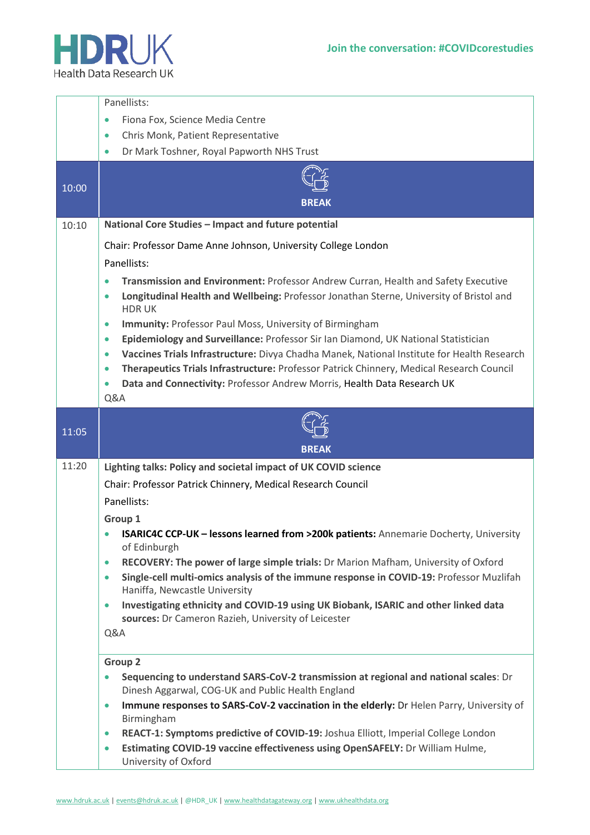

|       | Panellists:                                                                                                                                                                                                      |
|-------|------------------------------------------------------------------------------------------------------------------------------------------------------------------------------------------------------------------|
|       | Fiona Fox, Science Media Centre<br>$\bullet$                                                                                                                                                                     |
|       | Chris Monk, Patient Representative<br>$\bullet$                                                                                                                                                                  |
|       | Dr Mark Toshner, Royal Papworth NHS Trust<br>$\bullet$                                                                                                                                                           |
| 10:00 |                                                                                                                                                                                                                  |
|       | <b>BREAK</b>                                                                                                                                                                                                     |
| 10:10 | National Core Studies - Impact and future potential                                                                                                                                                              |
|       | Chair: Professor Dame Anne Johnson, University College London                                                                                                                                                    |
|       | Panellists:                                                                                                                                                                                                      |
|       | Transmission and Environment: Professor Andrew Curran, Health and Safety Executive<br>۰                                                                                                                          |
|       | Longitudinal Health and Wellbeing: Professor Jonathan Sterne, University of Bristol and<br>۰<br><b>HDRUK</b>                                                                                                     |
|       | Immunity: Professor Paul Moss, University of Birmingham<br>$\bullet$                                                                                                                                             |
|       | Epidemiology and Surveillance: Professor Sir Ian Diamond, UK National Statistician<br>۰                                                                                                                          |
|       | Vaccines Trials Infrastructure: Divya Chadha Manek, National Institute for Health Research<br>$\bullet$<br>Therapeutics Trials Infrastructure: Professor Patrick Chinnery, Medical Research Council<br>$\bullet$ |
|       | Data and Connectivity: Professor Andrew Morris, Health Data Research UK<br>$\bullet$                                                                                                                             |
|       | Q&A                                                                                                                                                                                                              |
|       |                                                                                                                                                                                                                  |
| 11:05 |                                                                                                                                                                                                                  |
|       |                                                                                                                                                                                                                  |
|       | <b>BREAK</b>                                                                                                                                                                                                     |
| 11:20 | Lighting talks: Policy and societal impact of UK COVID science                                                                                                                                                   |
|       | Chair: Professor Patrick Chinnery, Medical Research Council                                                                                                                                                      |
|       | Panellists:                                                                                                                                                                                                      |
|       | Group 1                                                                                                                                                                                                          |
|       | ISARIC4C CCP-UK - lessons learned from >200k patients: Annemarie Docherty, University                                                                                                                            |
|       | of Edinburgh<br>RECOVERY: The power of large simple trials: Dr Marion Mafham, University of Oxford<br>۰                                                                                                          |
|       | Single-cell multi-omics analysis of the immune response in COVID-19: Professor Muzlifah<br>۰<br>Haniffa, Newcastle University                                                                                    |
|       | Investigating ethnicity and COVID-19 using UK Biobank, ISARIC and other linked data<br>$\bullet$<br>sources: Dr Cameron Razieh, University of Leicester                                                          |
|       | Q&A                                                                                                                                                                                                              |
|       | <b>Group 2</b>                                                                                                                                                                                                   |
|       | Sequencing to understand SARS-CoV-2 transmission at regional and national scales: Dr<br>Dinesh Aggarwal, COG-UK and Public Health England                                                                        |
|       | Immune responses to SARS-CoV-2 vaccination in the elderly: Dr Helen Parry, University of<br>۰<br>Birmingham                                                                                                      |
|       | REACT-1: Symptoms predictive of COVID-19: Joshua Elliott, Imperial College London<br>$\bullet$                                                                                                                   |